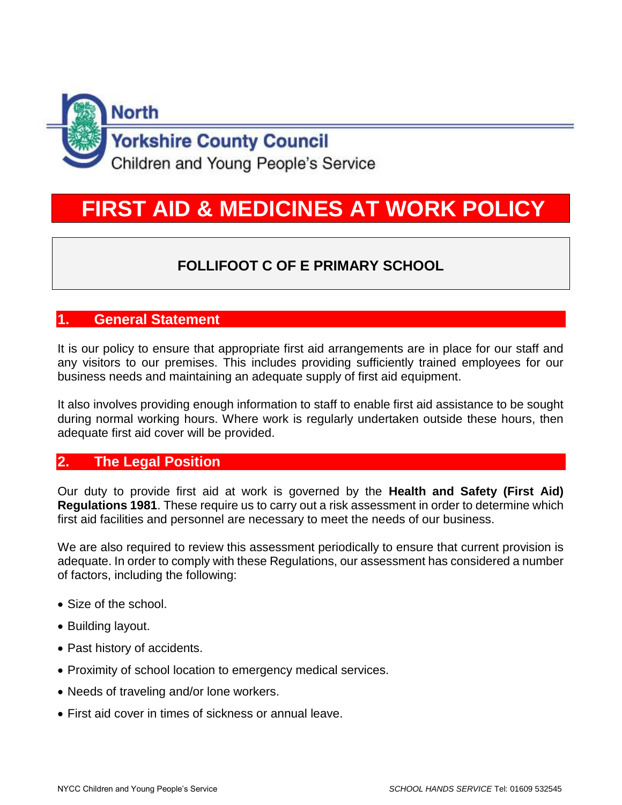

# **FIRST AID & MEDICINES AT WORK POLICY**

# **FOLLIFOOT C OF E PRIMARY SCHOOL**

# **1. General Statement**

It is our policy to ensure that appropriate first aid arrangements are in place for our staff and any visitors to our premises. This includes providing sufficiently trained employees for our business needs and maintaining an adequate supply of first aid equipment.

It also involves providing enough information to staff to enable first aid assistance to be sought during normal working hours. Where work is regularly undertaken outside these hours, then adequate first aid cover will be provided.

## **2. The Legal Position**

Our duty to provide first aid at work is governed by the **Health and Safety (First Aid) Regulations 1981**. These require us to carry out a risk assessment in order to determine which first aid facilities and personnel are necessary to meet the needs of our business.

We are also required to review this assessment periodically to ensure that current provision is adequate. In order to comply with these Regulations, our assessment has considered a number of factors, including the following:

- Size of the school.
- Building layout.
- Past history of accidents.
- Proximity of school location to emergency medical services.
- Needs of traveling and/or lone workers.
- First aid cover in times of sickness or annual leave.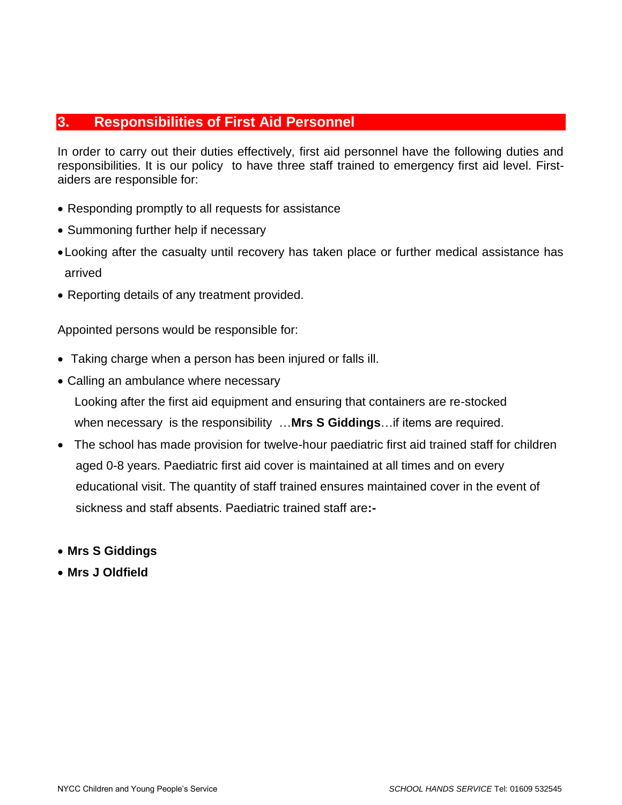### **3. Responsibilities of First Aid Personnel**

In order to carry out their duties effectively, first aid personnel have the following duties and responsibilities. It is our policy to have three staff trained to emergency first aid level. Firstaiders are responsible for:

- Responding promptly to all requests for assistance
- Summoning further help if necessary
- •Looking after the casualty until recovery has taken place or further medical assistance has arrived
- Reporting details of any treatment provided.

Appointed persons would be responsible for:

- Taking charge when a person has been injured or falls ill.
- Calling an ambulance where necessary

 Looking after the first aid equipment and ensuring that containers are re-stocked when necessary is the responsibility …**Mrs S Giddings**…if items are required.

- The school has made provision for twelve-hour paediatric first aid trained staff for children aged 0-8 years. Paediatric first aid cover is maintained at all times and on every educational visit. The quantity of staff trained ensures maintained cover in the event of sickness and staff absents. Paediatric trained staff are**:-**
- **Mrs S Giddings**
- **Mrs J Oldfield**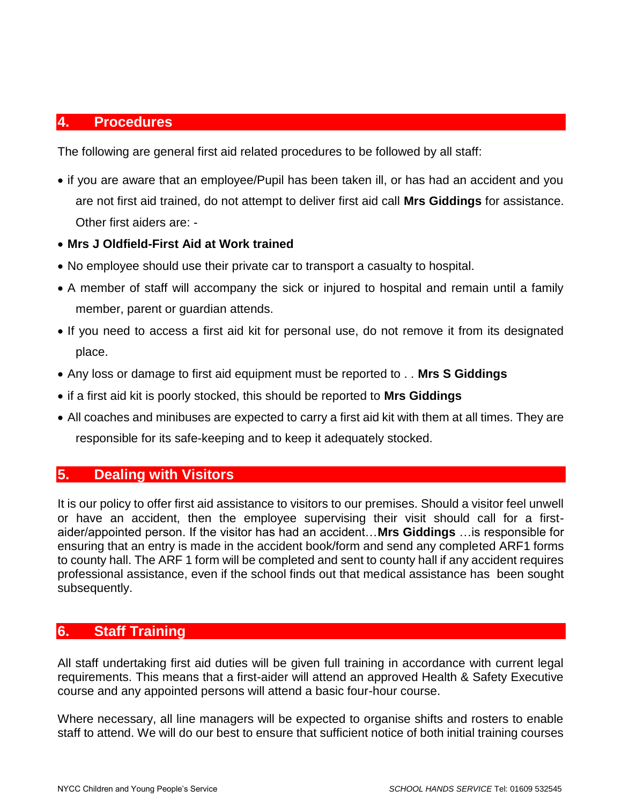#### **4. Procedures**

The following are general first aid related procedures to be followed by all staff:

- if you are aware that an employee/Pupil has been taken ill, or has had an accident and you are not first aid trained, do not attempt to deliver first aid call **Mrs Giddings** for assistance. Other first aiders are: -
- **Mrs J Oldfield-First Aid at Work trained**
- No employee should use their private car to transport a casualty to hospital.
- A member of staff will accompany the sick or injured to hospital and remain until a family member, parent or guardian attends.
- If you need to access a first aid kit for personal use, do not remove it from its designated place.
- Any loss or damage to first aid equipment must be reported to . . **Mrs S Giddings**
- if a first aid kit is poorly stocked, this should be reported to **Mrs Giddings**
- All coaches and minibuses are expected to carry a first aid kit with them at all times. They are responsible for its safe-keeping and to keep it adequately stocked.

#### **5. Dealing with Visitors**

It is our policy to offer first aid assistance to visitors to our premises. Should a visitor feel unwell or have an accident, then the employee supervising their visit should call for a firstaider/appointed person. If the visitor has had an accident…**Mrs Giddings** …is responsible for ensuring that an entry is made in the accident book/form and send any completed ARF1 forms to county hall. The ARF 1 form will be completed and sent to county hall if any accident requires professional assistance, even if the school finds out that medical assistance has been sought subsequently.

#### **6. Staff Training**

All staff undertaking first aid duties will be given full training in accordance with current legal requirements. This means that a first-aider will attend an approved Health & Safety Executive course and any appointed persons will attend a basic four-hour course.

Where necessary, all line managers will be expected to organise shifts and rosters to enable staff to attend. We will do our best to ensure that sufficient notice of both initial training courses